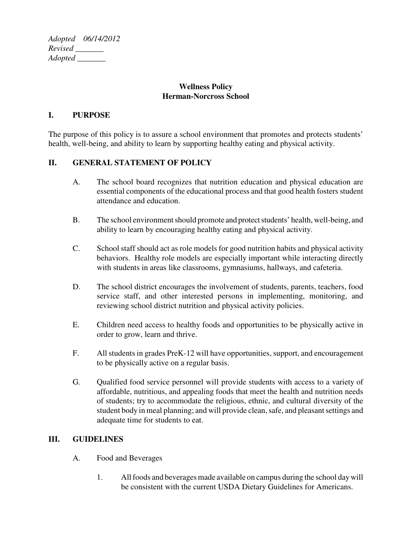*Adopted 06/14/2012 Revised \_\_\_\_\_\_\_ Adopted \_\_\_\_\_\_\_*

### **Wellness Policy Herman-Norcross School**

### **I. PURPOSE**

The purpose of this policy is to assure a school environment that promotes and protects students' health, well-being, and ability to learn by supporting healthy eating and physical activity.

## **II. GENERAL STATEMENT OF POLICY**

- A. The school board recognizes that nutrition education and physical education are essential components of the educational process and that good health fosters student attendance and education.
- B. The school environment should promote and protect students' health, well-being, and ability to learn by encouraging healthy eating and physical activity.
- C. School staff should act as role models for good nutrition habits and physical activity behaviors. Healthy role models are especially important while interacting directly with students in areas like classrooms, gymnasiums, hallways, and cafeteria.
- D. The school district encourages the involvement of students, parents, teachers, food service staff, and other interested persons in implementing, monitoring, and reviewing school district nutrition and physical activity policies.
- E. Children need access to healthy foods and opportunities to be physically active in order to grow, learn and thrive.
- F. All students in grades PreK-12 will have opportunities, support, and encouragement to be physically active on a regular basis.
- G. Qualified food service personnel will provide students with access to a variety of affordable, nutritious, and appealing foods that meet the health and nutrition needs of students; try to accommodate the religious, ethnic, and cultural diversity of the student body in meal planning; and will provide clean, safe, and pleasant settings and adequate time for students to eat.

### **III. GUIDELINES**

- A. Food and Beverages
	- 1. All foods and beverages made available on campus during the school day will be consistent with the current USDA Dietary Guidelines for Americans.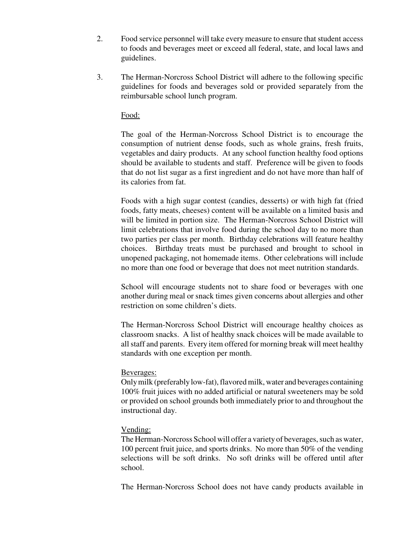- 2. Food service personnel will take every measure to ensure that student access to foods and beverages meet or exceed all federal, state, and local laws and guidelines.
- 3. The Herman-Norcross School District will adhere to the following specific guidelines for foods and beverages sold or provided separately from the reimbursable school lunch program.

### Food:

The goal of the Herman-Norcross School District is to encourage the consumption of nutrient dense foods, such as whole grains, fresh fruits, vegetables and dairy products. At any school function healthy food options should be available to students and staff. Preference will be given to foods that do not list sugar as a first ingredient and do not have more than half of its calories from fat.

Foods with a high sugar contest (candies, desserts) or with high fat (fried foods, fatty meats, cheeses) content will be available on a limited basis and will be limited in portion size. The Herman-Norcross School District will limit celebrations that involve food during the school day to no more than two parties per class per month. Birthday celebrations will feature healthy choices. Birthday treats must be purchased and brought to school in unopened packaging, not homemade items. Other celebrations will include no more than one food or beverage that does not meet nutrition standards.

School will encourage students not to share food or beverages with one another during meal or snack times given concerns about allergies and other restriction on some children's diets.

The Herman-Norcross School District will encourage healthy choices as classroom snacks. A list of healthy snack choices will be made available to all staff and parents. Every item offered for morning break will meet healthy standards with one exception per month.

#### Beverages:

Only milk (preferably low-fat), flavored milk, water and beverages containing 100% fruit juices with no added artificial or natural sweeteners may be sold or provided on school grounds both immediately prior to and throughout the instructional day.

### Vending:

The Herman-Norcross School will offer a variety of beverages, such as water, 100 percent fruit juice, and sports drinks. No more than 50% of the vending selections will be soft drinks. No soft drinks will be offered until after school.

The Herman-Norcross School does not have candy products available in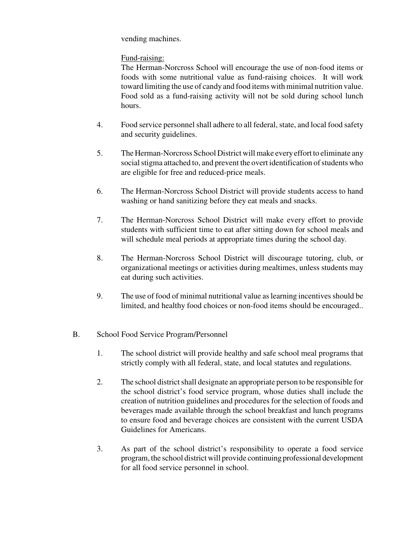vending machines.

# Fund-raising:

The Herman-Norcross School will encourage the use of non-food items or foods with some nutritional value as fund-raising choices. It will work toward limiting the use of candy and food items with minimal nutrition value. Food sold as a fund-raising activity will not be sold during school lunch hours.

- 4. Food service personnel shall adhere to all federal, state, and local food safety and security guidelines.
- 5. The Herman-Norcross School District will make every effort to eliminate any social stigma attached to, and prevent the overt identification of students who are eligible for free and reduced-price meals.
- 6. The Herman-Norcross School District will provide students access to hand washing or hand sanitizing before they eat meals and snacks.
- 7. The Herman-Norcross School District will make every effort to provide students with sufficient time to eat after sitting down for school meals and will schedule meal periods at appropriate times during the school day.
- 8. The Herman-Norcross School District will discourage tutoring, club, or organizational meetings or activities during mealtimes, unless students may eat during such activities.
- 9. The use of food of minimal nutritional value as learning incentives should be limited, and healthy food choices or non-food items should be encouraged..

## B. School Food Service Program/Personnel

- 1. The school district will provide healthy and safe school meal programs that strictly comply with all federal, state, and local statutes and regulations.
- 2. The school district shall designate an appropriate person to be responsible for the school district's food service program, whose duties shall include the creation of nutrition guidelines and procedures for the selection of foods and beverages made available through the school breakfast and lunch programs to ensure food and beverage choices are consistent with the current USDA Guidelines for Americans.
- 3. As part of the school district's responsibility to operate a food service program, the school district will provide continuing professional development for all food service personnel in school.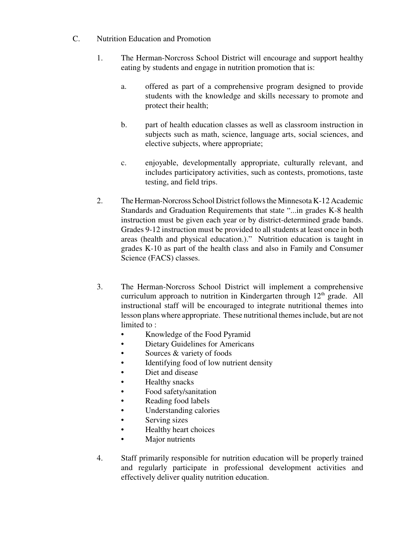- C. Nutrition Education and Promotion
	- 1. The Herman-Norcross School District will encourage and support healthy eating by students and engage in nutrition promotion that is:
		- a. offered as part of a comprehensive program designed to provide students with the knowledge and skills necessary to promote and protect their health;
		- b. part of health education classes as well as classroom instruction in subjects such as math, science, language arts, social sciences, and elective subjects, where appropriate;
		- c. enjoyable, developmentally appropriate, culturally relevant, and includes participatory activities, such as contests, promotions, taste testing, and field trips.
	- 2. The Herman-Norcross School District follows the Minnesota K-12 Academic Standards and Graduation Requirements that state "...in grades K-8 health instruction must be given each year or by district-determined grade bands. Grades 9-12 instruction must be provided to all students at least once in both areas (health and physical education.)." Nutrition education is taught in grades K-10 as part of the health class and also in Family and Consumer Science (FACS) classes.
	- 3. The Herman-Norcross School District will implement a comprehensive curriculum approach to nutrition in Kindergarten through  $12<sup>th</sup>$  grade. All instructional staff will be encouraged to integrate nutritional themes into lesson plans where appropriate. These nutritional themes include, but are not limited to :
		- Knowledge of the Food Pyramid
		- Dietary Guidelines for Americans
		- Sources & variety of foods
		- Identifying food of low nutrient density
		- Diet and disease
		- Healthy snacks
		- Food safety/sanitation
		- Reading food labels
		- Understanding calories
		- Serving sizes
		- Healthy heart choices
		- Major nutrients
	- 4. Staff primarily responsible for nutrition education will be properly trained and regularly participate in professional development activities and effectively deliver quality nutrition education.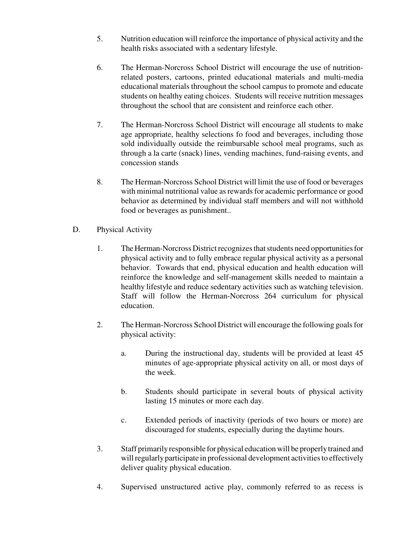- 5. Nutrition education will reinforce the importance of physical activity and the health risks associated with a sedentary lifestyle.
- 6. The Herman-Norcross School District will encourage the use of nutritionrelated posters, cartoons, printed educational materials and multi-media educational materials throughout the school campus to promote and educate students on healthy eating choices. Students will receive nutrition messages throughout the school that are consistent and reinforce each other.
- 7. The Herman-Norcross School District will encourage all students to make age appropriate, healthy selections fo food and beverages, including those sold individually outside the reimbursable school meal programs, such as through a la carte (snack) lines, vending machines, fund-raising events, and concession stands
- 8. The Herman-Norcross School District will limit the use of food or beverages with minimal nutritional value as rewards for academic performance or good behavior as determined by individual staff members and will not withhold food or beverages as punishment..
- D. Physical Activity
	- 1. The Herman-Norcross District recognizes that students need opportunities for physical activity and to fully embrace regular physical activity as a personal behavior. Towards that end, physical education and health education will reinforce the knowledge and self-management skills needed to maintain a healthy lifestyle and reduce sedentary activities such as watching television. Staff will follow the Herman-Norcross 264 curriculum for physical education.
	- 2. The Herman-Norcross School District will encourage the following goals for physical activity:
		- a. During the instructional day, students will be provided at least 45 minutes of age-appropriate physical activity on all, or most days of the week.
		- b. Students should participate in several bouts of physical activity lasting 15 minutes or more each day.
		- c. Extended periods of inactivity (periods of two hours or more) are discouraged for students, especially during the daytime hours.
	- 3. Staff primarily responsible for physical education will be properly trained and will regularly participate in professional development activities to effectively deliver quality physical education.
	- 4. Supervised unstructured active play, commonly referred to as recess is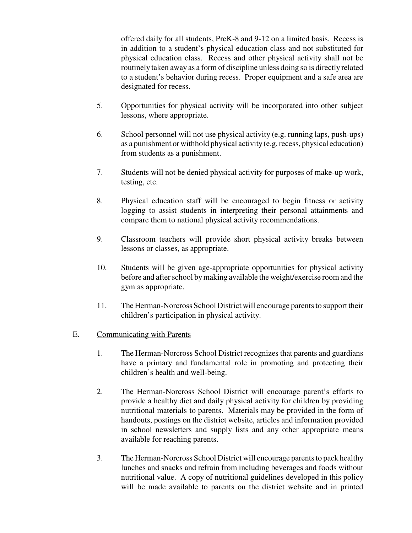offered daily for all students, PreK-8 and 9-12 on a limited basis. Recess is in addition to a student's physical education class and not substituted for physical education class. Recess and other physical activity shall not be routinely taken away as a form of discipline unless doing so is directly related to a student's behavior during recess. Proper equipment and a safe area are designated for recess.

- 5. Opportunities for physical activity will be incorporated into other subject lessons, where appropriate.
- 6. School personnel will not use physical activity (e.g. running laps, push-ups) as a punishment or withhold physical activity (e.g. recess, physical education) from students as a punishment.
- 7. Students will not be denied physical activity for purposes of make-up work, testing, etc.
- 8. Physical education staff will be encouraged to begin fitness or activity logging to assist students in interpreting their personal attainments and compare them to national physical activity recommendations.
- 9. Classroom teachers will provide short physical activity breaks between lessons or classes, as appropriate.
- 10. Students will be given age-appropriate opportunities for physical activity before and after school by making available the weight/exercise room and the gym as appropriate.
- 11. The Herman-Norcross School District will encourage parents to support their children's participation in physical activity.

### E. Communicating with Parents

- 1. The Herman-Norcross School District recognizes that parents and guardians have a primary and fundamental role in promoting and protecting their children's health and well-being.
- 2. The Herman-Norcross School District will encourage parent's efforts to provide a healthy diet and daily physical activity for children by providing nutritional materials to parents. Materials may be provided in the form of handouts, postings on the district website, articles and information provided in school newsletters and supply lists and any other appropriate means available for reaching parents.
- 3. The Herman-Norcross School District will encourage parents to pack healthy lunches and snacks and refrain from including beverages and foods without nutritional value. A copy of nutritional guidelines developed in this policy will be made available to parents on the district website and in printed